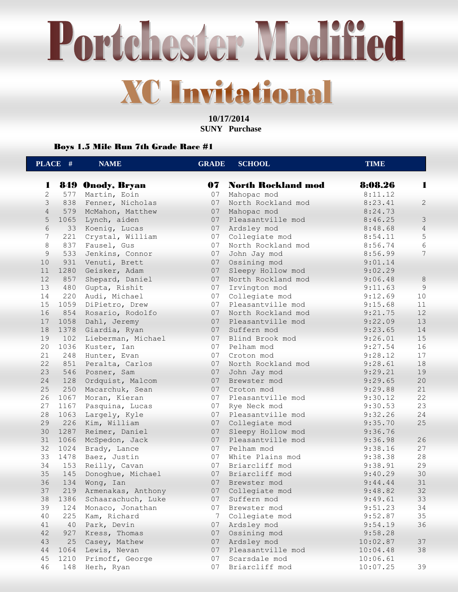Portchester Modified **XC Invitational** 

> **10/17/2014 SUNY Purchase**

Boys 1.5 Mile Run 7th Grade Race #1

|                | PLACE # | <b>NAME</b>             | <b>GRADE</b> | <b>SCHOOL</b>         | <b>TIME</b> |                |
|----------------|---------|-------------------------|--------------|-----------------------|-------------|----------------|
| 1              |         | <b>849 Onody, Bryan</b> |              | 07 North Rockland mod | 8:08.26     | ш              |
| $\overline{2}$ | 577     | Martin, Eoin            | 07           | Mahopac mod           | 8:11.12     |                |
| 3              | 838     | Fenner, Nicholas        | 07           | North Rockland mod    | 8:23.41     | $\mathbf{2}$   |
| $\overline{4}$ |         | 579 McMahon, Matthew    | 07           | Mahopac mod           | 8:24.73     |                |
| 5              | 1065    | Lynch, aiden            | 07           | Pleasantville mod     | 8:46.25     | $\mathfrak{Z}$ |
| 6              | 33      | Koenig, Lucas           | 07           | Ardsley mod           | 8:48.68     | $\overline{4}$ |
| 7              | 221     | Crystal, William        | 07           | Collegiate mod        | 8:54.11     | 5              |
| $\,8\,$        | 837     | Fausel, Gus             | 07           | North Rockland mod    | 8:56.74     | $\epsilon$     |
| $\mathcal{G}$  | 533     | Jenkins, Connor         | 07           | John Jay mod          | 8:56.99     | 7              |
| 10             | 931     | Venuti, Brett           | 07           | Ossining mod          | 9:01.14     |                |
| 11             | 1280    | Geisker, Adam           | 07           | Sleepy Hollow mod     | 9:02.29     |                |
| 12             | 857     | Shepard, Daniel         | 07           | North Rockland mod    | 9:06.48     | $\,8\,$        |
| 13             | 480     | Gupta, Rishit           | 07           | Irvington mod         | 9:11.63     | $\overline{9}$ |
| 14             | 220     | Audi, Michael           | 07           | Collegiate mod        | 9:12.69     | 10             |
| 15             | 1059    | DiPietro, Drew          | 07           | Pleasantville mod     | 9:15.68     | 11             |
| 16             | 854     | Rosario, Rodolfo        | 07           | North Rockland mod    | 9:21.75     | 12             |
| 17             | 1058    | Dahl, Jeremy            | 07           | Pleasantville mod     | 9:22.09     | 13             |
| 18             | 1378    | Giardia, Ryan           | 07           | Suffern mod           | 9:23.65     | 14             |
| 19             | 102     | Lieberman, Michael      | 07           | Blind Brook mod       | 9:26.01     | 15             |
| 20             | 1036    | Kuster, Ian             | 07           | Pelham mod            | 9:27.54     | 16             |
| 21             | 248     | Hunter, Evan            | 07           | Croton mod            | 9:28.12     | 17             |
| 22             | 851     | Peralta, Carlos         | 07           | North Rockland mod    | 9:28.61     | 18             |
| 23             | 546     | Posner, Sam             | 07           | John Jay mod          | 9:29.21     | 19             |
| 24             | 128     | Ordquist, Malcom        | 07           | Brewster mod          | 9:29.65     | 20             |
| 25             | 250     | Macarchuk, Sean         | 07           | Croton mod            | 9:29.88     | 21             |
| 26             | 1067    | Moran, Kieran           | 07           | Pleasantville mod     | 9:30.12     | 22             |
| 27             | 1167    | Pasquina, Lucas         | 07           | Rye Neck mod          | 9:30.53     | 23             |
| 28             | 1063    | Largely, Kyle           | 07           | Pleasantville mod     | 9:32.26     | 24             |
| 29             | 226     | Kim, William            | 07           | Collegiate mod        | 9:35.70     | 25             |
| 30             |         | 1287 Reimer, Daniel     | 07           | Sleepy Hollow mod     | 9:36.76     |                |
| 31             | 1066    | McSpedon, Jack          | 07           | Pleasantville mod     | 9:36.98     | 26             |
| 32             | 1024    | Brady, Lance            | 07           | Pelham mod            | 9:38.16     | 27             |
| 33             | 1478    | Baez, Justin            | 07           | White Plains mod      | 9:38.38     | 28             |
| 34             | 153     | Reilly, Cavan           | 07           | Briarcliff mod        | 9:38.91     | 29             |
| 35             | 145     | Donoghue, Michael       | 07           | Briarcliff mod        | 9:40.29     | 30             |
| 36             | 134     | Wong, Ian               | 07           | Brewster mod          | 9:44.44     | 31             |
| 37             | 219     | Armenakas, Anthony      | 07           | Collegiate mod        | 9:48.82     | 32             |
| 38             | 1386    | Schaarachuch, Luke      | 07           | Suffern mod           | 9:49.61     | 33             |
| 39             | 124     | Monaco, Jonathan        | 07           | Brewster mod          | 9:51.23     | 34             |
| 40             | 225     | Kam, Richard            | 7            | Collegiate mod        | 9:52.87     | 35             |
| 41             | 40      | Park, Devin             | 07           | Ardsley mod           | 9:54.19     | 36             |
| 42             | 927     | Kress, Thomas           | 07           | Ossining mod          | 9:58.28     |                |
| 43             | 25      | Casey, Mathew           | 07           | Ardsley mod           | 10:02.87    | 37             |
| $4\,4$         | 1064    | Lewis, Nevan            | 07           | Pleasantville mod     | 10:04.48    | 38             |
| 45             | 1210    | Primoff, George         | 07           | Scarsdale mod         | 10:06.61    |                |
| 46             | 148     | Herh, Ryan              | 07           | Briarcliff mod        | 10:07.25    | 39             |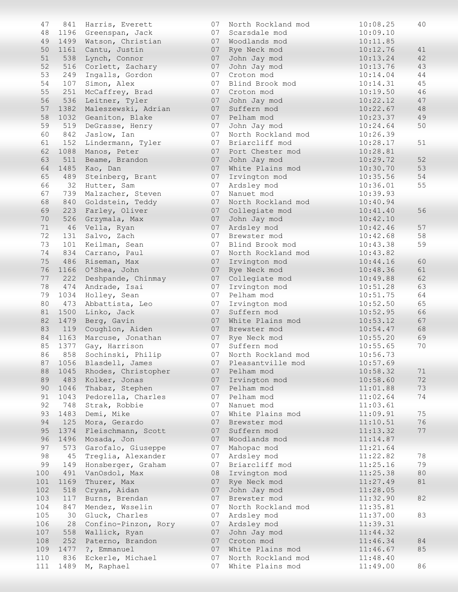| 47       | 841  | Harris, Everett                    | 07       | North Rockland mod             | 10:08.25             | 40       |
|----------|------|------------------------------------|----------|--------------------------------|----------------------|----------|
| 48       |      | 1196 Greenspan, Jack               | 07       | Scarsdale mod                  | 10:09.10             |          |
| 49       |      | 1499 Watson, Christian             | 07       | Woodlands mod                  | 10:11.85             |          |
| 50       | 1161 | Cantu, Justin                      | 07       | Rye Neck mod                   | 10:12.76             | 41       |
| 51       | 538  | Lynch, Connor                      | 07       | John Jay mod                   | 10:13.24             | 42       |
| 52       | 516  | Corlett, Zachary                   | 07       | John Jay mod                   | 10:13.76             | 43       |
| 53       | 249  | Ingalls, Gordon                    | 07       | Croton mod                     | 10:14.04             | 44       |
| 54       | 107  | Simon, Alex                        | 07       | Blind Brook mod                | 10:14.31             | 45       |
| 55       | 251  | McCaffrey, Brad                    | 07       | Croton mod                     | 10:19.50             | 46       |
| 56       | 536  | Leitner, Tyler                     | 07       | John Jay mod                   | 10:22.12             | 47       |
| 57       |      | 1382 Maleszewski, Adrian           | 07       | Suffern mod                    | 10:22.67             | 48       |
| 58       | 1032 | Geaniton, Blake                    | 07       | Pelham mod                     | 10:23.37             | 49       |
| 59       | 519  | DeGrasse, Henry                    | 07       | John Jay mod                   | 10:24.64             | 50       |
| 60       | 842  | Jaslow, Ian                        | 07       | North Rockland mod             | 10:26.39             |          |
| 61       | 152  | Lindermann, Tyler                  | 07       | Briarcliff mod                 | 10:28.17             | 51       |
| 62       | 1088 | Manos, Peter                       | 07       | Port Chester mod               | 10:28.81             |          |
| 63       | 511  | Beame, Brandon                     | 07       | John Jay mod                   | 10:29.72             | 52       |
| 64       | 1485 | Kao, Dan                           | 07       | White Plains mod               | 10:30.70             | 53       |
| 65       |      | 489 Steinberg, Brant               | 07       | Irvington mod                  | 10:35.56             | 54       |
| 66       | 32   | Hutter, Sam                        | 07       | Ardsley mod                    | 10:36.01             | 55       |
| 67       | 739  | Malzacher, Steven                  | 07       | Nanuet mod                     | 10:39.93             |          |
| 68       | 840  | Goldstein, Teddy                   | 07       | North Rockland mod             | 10:40.94             |          |
| 69       | 223  | Farley, Oliver                     | 07       | Collegiate mod                 | 10:41.40             | 56       |
| 70       | 526  | Grzymala, Max                      | 07       | John Jay mod                   | 10:42.10             |          |
| 71<br>72 | 46   | Vella, Ryan                        | 07       | Ardsley mod                    | 10:42.46             | 57       |
| 73       | 131  | Salvo, Zach                        | 07<br>07 | Brewster mod                   | 10:42.68             | 58       |
|          | 101  | Keilman, Sean                      |          | Blind Brook mod                | 10:43.38             | 59       |
| 74<br>75 | 834  | Carrano, Paul<br>486 Riseman, Max  | 07       | North Rockland mod             | 10:43.82             |          |
| 76       | 1166 |                                    | 07<br>07 | Irvington mod                  | 10:44.16<br>10:48.36 | 60<br>61 |
| 77       | 222  | O'Shea, John<br>Deshpande, Chinmay | 07       | Rye Neck mod<br>Collegiate mod | 10:49.88             | 62       |
| 78       | 474  | Andrade, Isai                      | 07       | Irvington mod                  | 10:51.28             | 63       |
| 79       | 1034 | Holley, Sean                       | 07       | Pelham mod                     | 10:51.75             | 64       |
| 80       | 473  | Abbattista, Leo                    | 07       | Irvington mod                  | 10:52.50             | 65       |
| 81       | 1500 | Linko, Jack                        | 07       | Suffern mod                    | 10:52.95             | 66       |
| 82       | 1479 | Berg, Gavin                        | 07       | White Plains mod               | 10:53.12             | 67       |
| 83       |      | 119 Coughlon, Aiden                | 07       | Brewster mod                   | 10:54.47             | 68       |
| 84       |      | 1163 Marcuse, Jonathan             |          | 07 Rye Neck mod                | 10:55.20             | 69       |
| 85       | 1377 | Gay, Harrison                      | 07       | Suffern mod                    | 10:55.65             | 70       |
| 86       |      | 858 Sochinski, Philip              |          | 07 North Rockland mod          | 10:56.73             |          |
| 87       | 1056 | Blasdell, James                    | 07       | Pleasantville mod              | 10:57.69             |          |
| 88       |      | 1045 Rhodes, Christopher           |          | 07 Pelham mod                  | 10:58.32             | 71       |
| 89       | 483  | Kolker, Jonas                      | 07       | Irvington mod                  | 10:58.60             | 72       |
| 90       | 1046 | Thabaz, Stephen                    |          | 07 Pelham mod                  | 11:01.88             | 73       |
| 91       | 1043 | Pedorella, Charles                 | 07       | Pelham mod                     | 11:02.64             | 74       |
| 92       | 748  | Strak, Robbie                      | 07       | Nanuet mod                     | 11:03.61             |          |
| 93       | 1483 | Demi, Mike                         | 07       | White Plains mod               | 11:09.91             | 75       |
| 94       | 125  | Mora, Gerardo                      | 07       | Brewster mod                   | 11:10.51             | 76       |
| 95       | 1374 | Fleischmann, Scott                 | 07       | Suffern mod                    | 11:13.32             | 77       |
| 96       | 1496 | Mosada, Jon                        | 07       | Woodlands mod                  | 11:14.87             |          |
| 97       | 573  | Garofalo, Giuseppe                 | 07       | Mahopac mod                    | 11:21.64             |          |
| 98       | 45   | Treglia, Alexander                 | 07       | Ardsley mod                    | 11:22.82             | 78       |
| 99       | 149  | Honsberger, Graham                 | 07       | Briarcliff mod                 | 11:25.16             | 79       |
| 100      | 491  | VanOsdol, Max                      | 08       | Irvington mod                  | 11:25.38             | 80       |
| 101      | 1169 | Thurer, Max                        | 07       | Rye Neck mod                   | 11:27.49             | 81       |
| 102      | 518  | Cryan, Aidan                       | 07       | John Jay mod                   | 11:28.05             |          |
| 103      | 117  | Burns, Brendan                     | 07       | Brewster mod                   | 11:32.90             | 82       |
| 104      | 847  | Mendez, Wsselin                    | 07       | North Rockland mod             | 11:35.81             |          |
| 105      | 30   | Gluck, Charles                     | 07       | Ardsley mod                    | 11:37.00             | 83       |
| 106      | 28   | Confino-Pinzon, Rory               | 07       | Ardsley mod                    | 11:39.31             |          |
| 107      | 558  | Wallick, Ryan                      | 07       | John Jay mod                   | 11:44.32             |          |
| 108      | 252  | Paterno, Brandon                   | 07       | Croton mod                     | 11:46.34             | 84       |
| 109      | 1477 | ?, Emmanuel                        | 07       | White Plains mod               | 11:46.67             | 85       |
| 110      | 836  | Eckerle, Michael                   | 07       | North Rockland mod             | 11:48.40             |          |
| 111      | 1489 | M, Raphael                         | 07       | White Plains mod               | 11:49.00             | 86       |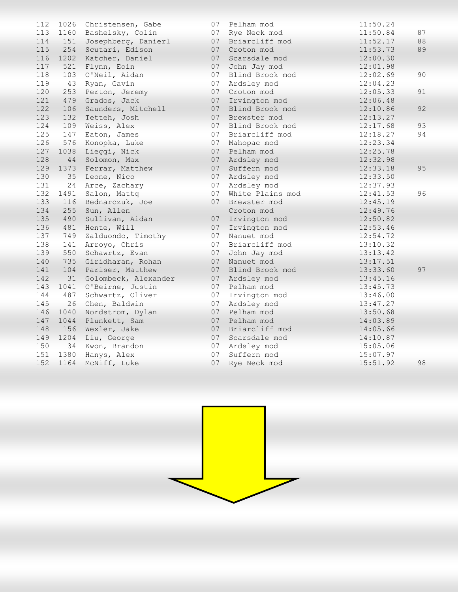| 112 | 1026 | Christensen, Gabe    | 07 | Pelham mod       | 11:50.24 |    |
|-----|------|----------------------|----|------------------|----------|----|
| 113 | 1160 | Bashelsky, Colin     | 07 | Rye Neck mod     | 11:50.84 | 87 |
| 114 | 151  | Josephberg, Danierl  | 07 | Briarcliff mod   | 11:52.17 | 88 |
| 115 | 254  | Scutari, Edison      | 07 | Croton mod       | 11:53.73 | 89 |
| 116 | 1202 | Katcher, Daniel      | 07 | Scarsdale mod    | 12:00.30 |    |
| 117 | 521  | Flynn, Eoin          | 07 | John Jay mod     | 12:01.98 |    |
| 118 | 103  | O'Neil, Aidan        | 07 | Blind Brook mod  | 12:02.69 | 90 |
| 119 | 43   | Ryan, Gavin          | 07 | Ardsley mod      | 12:04.23 |    |
| 120 | 253  | Perton, Jeremy       | 07 | Croton mod       | 12:05.33 | 91 |
| 121 | 479  | Grados, Jack         | 07 | Irvington mod    | 12:06.48 |    |
| 122 | 106  | Saunders, Mitchell   | 07 | Blind Brook mod  | 12:10.86 | 92 |
| 123 | 132  | Tetteh, Josh         | 07 | Brewster mod     | 12:13.27 |    |
| 124 | 109  | Weiss, Alex          | 07 | Blind Brook mod  | 12:17.68 | 93 |
| 125 | 147  | Eaton, James         | 07 | Briarcliff mod   | 12:18.27 | 94 |
| 126 | 576  | Konopka, Luke        | 07 | Mahopac mod      | 12:23.34 |    |
| 127 | 1038 | Lieggi, Nick         | 07 | Pelham mod       | 12:25.78 |    |
| 128 | 44   | Solomon, Max         | 07 | Ardsley mod      | 12:32.98 |    |
| 129 | 1373 | Ferrar, Matthew      | 07 | Suffern mod      | 12:33.18 | 95 |
| 130 | 35   | Leone, Nico          | 07 | Ardsley mod      | 12:33.50 |    |
| 131 | 24   | Arce, Zachary        | 07 | Ardsley mod      | 12:37.93 |    |
| 132 | 1491 | Salon, Mattq         | 07 | White Plains mod | 12:41.53 | 96 |
| 133 | 116  | Bednarczuk, Joe      | 07 | Brewster mod     | 12:45.19 |    |
| 134 | 255  | Sun, Allen           |    | Croton mod       | 12:49.76 |    |
| 135 | 490  | Sullivan, Aidan      | 07 | Irvington mod    | 12:50.82 |    |
| 136 | 481  | Hente, Will          | 07 | Irvington mod    | 12:53.46 |    |
| 137 | 749  | Zalduondo, Timothy   | 07 | Nanuet mod       | 12:54.72 |    |
| 138 | 141  | Arroyo, Chris        | 07 | Briarcliff mod   | 13:10.32 |    |
| 139 | 550  | Schawrtz, Evan       | 07 | John Jay mod     | 13:13.42 |    |
| 140 | 735  | Giridharan, Rohan    | 07 | Nanuet mod       | 13:17.51 |    |
| 141 | 104  | Pariser, Matthew     | 07 | Blind Brook mod  | 13:33.60 | 97 |
| 142 | 31   | Golombeck, Alexander | 07 | Ardsley mod      | 13:45.16 |    |
| 143 | 1041 | O'Beirne, Justin     | 07 | Pelham mod       | 13:45.73 |    |
| 144 | 487  | Schwartz, Oliver     | 07 | Irvington mod    | 13:46.00 |    |
| 145 | 26   | Chen, Baldwin        | 07 | Ardsley mod      | 13:47.27 |    |
| 146 | 1040 | Nordstrom, Dylan     | 07 | Pelham mod       | 13:50.68 |    |
| 147 | 1044 | Plunkett, Sam        | 07 | Pelham mod       | 14:03.89 |    |
| 148 | 156  | Wexler, Jake         | 07 | Briarcliff mod   | 14:05.66 |    |
| 149 | 1204 | Liu, George          | 07 | Scarsdale mod    | 14:10.87 |    |
| 150 | 34   | Kwon, Brandon        | 07 | Ardsley mod      | 15:05.06 |    |
| 151 | 1380 | Hanys, Alex          | 07 | Suffern mod      | 15:07.97 |    |
| 152 | 1164 | McNiff, Luke         | 07 | Rye Neck mod     | 15:51.92 | 98 |

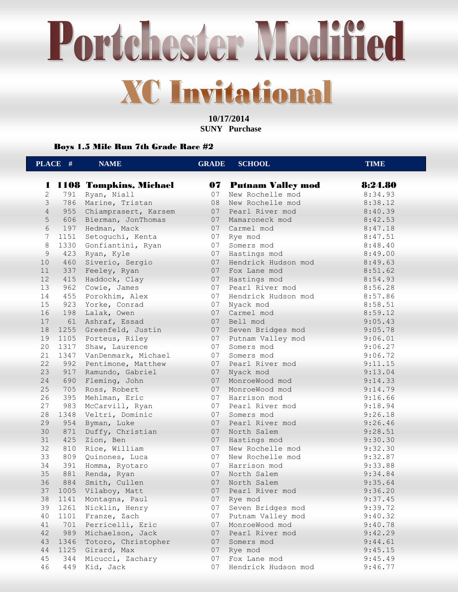Portchester Modified **XC Invitational** 

> **10/17/2014 SUNY Purchase**

Boys 1.5 Mile Run 7th Grade Race #2

|                | PLACE # | <b>NAME</b>              | <b>GRADE</b> | <b>SCHOOL</b>            | <b>TIME</b> |  |
|----------------|---------|--------------------------|--------------|--------------------------|-------------|--|
| 1              |         |                          | 07           |                          | 8:24.80     |  |
| $\mathbf{2}$   |         | 1108 Tompkins, Michael   | 07           | <b>Putnam Valley mod</b> |             |  |
| 3              | 791     | Ryan, Niall              | 08           | New Rochelle mod         | 8:34.93     |  |
|                | 786     | Marine, Tristan          |              | New Rochelle mod         | 8:38.12     |  |
| $\overline{4}$ |         | 955 Chiamprasert, Karsem | 07           | Pearl River mod          | 8:40.39     |  |
| 5              | 606     | Bierman, JonThomas       | 07           | Mamaroneck mod           | 8:42.53     |  |
| 6              | 197     | Hedman, Mack             | 07           | Carmel mod               | 8:47.18     |  |
| 7              | 1151    | Setoguchi, Kenta         | 07           | Rye mod                  | 8:47.51     |  |
| $\,8\,$        |         | 1330 Gonfiantini, Ryan   | 07           | Somers mod               | 8:48.40     |  |
| 9              |         | 423 Ryan, Kyle           | 07           | Hastings mod             | 8:49.00     |  |
| 10             | 460     | Siverio, Sergio          | 07           | Hendrick Hudson mod      | 8:49.63     |  |
| 11             | 337     | Feeley, Ryan             | 07           | Fox Lane mod             | 8:51.62     |  |
| 12             | 415     | Haddock, Clay            | 07           | Hastings mod             | 8:54.93     |  |
| 13             | 962     | Cowie, James             | 07           | Pearl River mod          | 8:56.28     |  |
| 14             | 455     | Porokhim, Alex           | 07           | Hendrick Hudson mod      | 8:57.86     |  |
| 15             |         | 923 Yorke, Conrad        | 07           | Nyack mod                | 8:58.51     |  |
| 16             |         | 198 Lalak, Owen          | 07           | Carmel mod               | 8:59.12     |  |
| 17             |         | 61 Ashraf, Essad         | 07           | Bell mod                 | 9:05.43     |  |
| 18             |         | 1255 Greenfeld, Justin   |              | 07 Seven Bridges mod     | 9:05.78     |  |
| 19             |         | 1105 Porteus, Riley      |              | 07 Putnam Valley mod     | 9:06.01     |  |
| 20             | 1317    | Shaw, Laurence           | 07           | Somers mod               | 9:06.27     |  |
| 21             | 1347    | VanDenmark, Michael      | 07           | Somers mod               | 9:06.72     |  |
| 22             | 992     | Pentimone, Matthew       | 07           | Pearl River mod          | 9:11.15     |  |
| 23             | 917     | Ramundo, Gabriel         | 07           | Nyack mod                | 9:13.04     |  |
| 24             | 690     | Fleming, John            | 07           | MonroeWood mod           | 9:14.33     |  |
| 25             | 705     | Ross, Robert             | 07           | MonroeWood mod           | 9:14.79     |  |
| 26             | 395     | Mehlman, Eric            |              | 07 Harrison mod          | 9:16.66     |  |
| 27             | 983     | McCarvill, Ryan          | 07           | Pearl River mod          | 9:18.94     |  |
| 28             | 1348    | Veltri, Dominic          | 07           | Somers mod               | 9:26.18     |  |
| 29             | 954     | Byman, Luke              | 07           | Pearl River mod          | 9:26.46     |  |
| 30             | 871     | Duffy, Christian         | 07           | North Salem              | 9:28.51     |  |
| 31             | 425     | Zion, Ben                | 07           | Hastings mod             | 9:30.30     |  |
| 32             | 810     | Rice, William            | 07           | New Rochelle mod         | 9:32.30     |  |
| 33             | 809     | Quinones, Luca           | 07           | New Rochelle mod         | 9:32.87     |  |
| 34             | 391     | Homma, Ryotaro           | 07           | Harrison mod             | 9:33.88     |  |
| 35             | 881     | Renda, Ryan              | 07           | North Salem              | 9:34.84     |  |
| 36             | 884     | Smith, Cullen            | 07           | North Salem              | 9:35.64     |  |
| 37             | 1005    | Vilaboy, Matt            | 07           | Pearl River mod          | 9:36.20     |  |
| 38             | 1141    | Montagna, Paul           | 07           | Rye mod                  | 9:37.45     |  |
| 39             | 1261    | Nicklin, Henry           | 07           | Seven Bridges mod        | 9:39.72     |  |
| 40             | 1101    | Franze, Zach             | 07           | Putnam Valley mod        | 9:40.32     |  |
| 41             | 701     | Perricelli, Eric         | 07           | MonroeWood mod           | 9:40.78     |  |
| 42             | 989     | Michaelson, Jack         | 07           | Pearl River mod          | 9:42.29     |  |
| 43             | 1346    | Totoro, Christopher      | 07           | Somers mod               | 9:44.61     |  |
| 44             | 1125    | Girard, Max              | 07           | Rye mod                  | 9:45.15     |  |
| 45             | 344     | Micucci, Zachary         | 07           | Fox Lane mod             | 9:45.49     |  |
| 46             | 449     | Kid, Jack                | 07           | Hendrick Hudson mod      | 9:46.77     |  |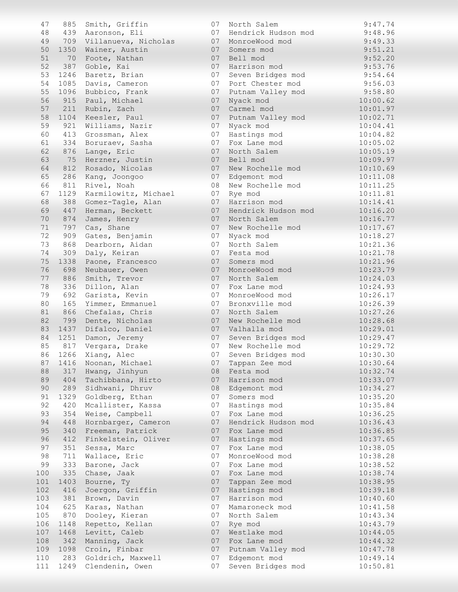| 47       | 885        | Smith, Griffin                      | 07       | North Salem                      | 9:47.74              |
|----------|------------|-------------------------------------|----------|----------------------------------|----------------------|
| 48       |            | 439 Aaronson, Eli                   | 07       | Hendrick Hudson mod              | 9:48.96              |
| 49       | 709        | Villanueva, Nicholas                | 07       | MonroeWood mod                   | 9:49.33              |
| 50       | 1350       | Wainer, Austin                      | 07       | Somers mod                       | 9:51.21              |
| 51       | 70         | Foote, Nathan                       | 07       | Bell mod                         | 9:52.20              |
| 52       | 387        | Goble, Kai                          | 07       | Harrison mod                     | 9:53.76              |
| 53       | 1246       | Baretz, Brian                       | 07       | Seven Bridges mod                | 9:54.64              |
| 54       | 1085       | Davis, Cameron                      | 07       | Port Chester mod                 | 9:56.03              |
| 55       | 1096       | Bubbico, Frank                      | 07       | Putnam Valley mod                | 9:58.80              |
| 56       | 915        | Paul, Michael                       | 07       | Nyack mod                        | 10:00.62             |
| 57       | 211        | Rubin, Zach                         | 07       | Carmel mod                       | 10:01.97             |
| 58       | 1104       | Keesler, Paul                       | 07       | Putnam Valley mod                | 10:02.71             |
| 59       | 921        | Williams, Nazir                     | 07       | Nyack mod                        | 10:04.41             |
| 60       | 413        | Grossman, Alex                      | 07       | Hastings mod                     | 10:04.82             |
| 61       | 334        | Boruraev, Sasha                     | 07       | Fox Lane mod                     | 10:05.02             |
| 62       | 876        | Lange, Eric                         | 07       | North Salem                      | 10:05.19             |
| 63       | 75         | Herzner, Justin                     | 07       | Bell mod                         | 10:09.97             |
| 64       | 812        | Rosado, Nicolas                     | 07       | New Rochelle mod                 | 10:10.69             |
| 65       | 286        | Kang, Joongoo                       | 07       | Edgemont mod                     | 10:11.08             |
| 66       | 811        | Rivel, Noah                         | 08       | New Rochelle mod                 | 10:11.25             |
| 67       | 1129       | Karmilowitz, Michael                | 07       | Rye mod                          | 10:11.81             |
| 68       | 388        | Gomez-Tagle, Alan                   | 07       | Harrison mod                     | 10:14.41             |
| 69       | 447        | Herman, Beckett                     | 07       | Hendrick Hudson mod              | 10:16.20             |
| 70       | 874        | James, Henry                        | 07       | North Salem                      | 10:16.77             |
| 71       | 797        | Cas, Shane                          | 07       | New Rochelle mod                 | 10:17.67             |
| 72       | 909        | Gates, Benjamin                     | 07       | Nyack mod                        | 10:18.27             |
| 73       | 868        | Dearborn, Aidan                     | 07       | North Salem                      | 10:21.36             |
| 74       | 309        | Daly, Keiran                        | 07       | Festa mod                        | 10:21.78             |
| 75       | 1338       | Paone, Francesco                    | 07       | Somers mod                       | 10:21.96             |
| 76       | 698        | Neubauer, Owen                      | 07       | MonroeWood mod                   | 10:23.79             |
| 77<br>78 | 886        | Smith, Trevor                       | 07<br>07 | North Salem                      | 10:24.03             |
| 79       | 336<br>692 | Dillon, Alan                        | 07       | Fox Lane mod                     | 10:24.93             |
| 80       | 165        | Garista, Kevin                      | 07       | MonroeWood mod<br>Bronxville mod | 10:26.17<br>10:26.39 |
| 81       | 866        | Yimmer, Emmanuel<br>Chefalas, Chris | 07       | North Salem                      | 10:27.26             |
| 82       | 799        | Dente, Nicholas                     | 07       | New Rochelle mod                 | 10:28.68             |
| 83       | 1437       | Difalco, Daniel                     | 07       | Valhalla mod                     | 10:29.01             |
| 84       | 1251       | Damon, Jeremy                       | 07       | Seven Bridges mod                | 10:29.47             |
| 85       | 817        | Vergara, Drake                      | 07       | New Rochelle mod                 | 10:29.72             |
|          |            | 86 1266 Xiang, Alec                 | 07       | Seven Bridges mod                | 10:30.30             |
| 87       |            | 1416 Noonan, Michael                | 07       | Tappan Zee mod                   | 10:30.64             |
| 88       |            | 317 Hwang, Jinhyun                  | 08       | Festa mod                        | 10:32.74             |
| 89       | 404        | Tachibbana, Hirto                   | 07       | Harrison mod                     | 10:33.07             |
| 90       | 289        | Sidhwani, Dhruv                     | 08       | Edgemont mod                     | 10:34.27             |
| 91       | 1329       | Goldberg, Ethan                     | 07       | Somers mod                       | 10:35.20             |
| 92       | 420        | Mcallister, Kassa                   | 07       | Hastings mod                     | 10:35.84             |
| 93       | 354        | Weise, Campbell                     | 07       | Fox Lane mod                     | 10:36.25             |
| 94       | 448        | Hornbarger, Cameron                 | 07       | Hendrick Hudson mod              | 10:36.43             |
| 95       | 340        | Freeman, Patrick                    | 07       | Fox Lane mod                     | 10:36.85             |
| 96       | 412        | Finkelstein, Oliver                 | 07       | Hastings mod                     | 10:37.65             |
| 97       | 351        | Sessa, Marc                         | 07       | Fox Lane mod                     | 10:38.05             |
| 98       | 711        | Wallace, Eric                       | 07       | MonroeWood mod                   | 10:38.28             |
| 99       | 333        | Barone, Jack                        | 07       | Fox Lane mod                     | 10:38.52             |
| 100      | 335        | Chase, Jaak                         | 07       | Fox Lane mod                     | 10:38.74             |
| 101      | 1403       | Bourne, Ty                          | 07       | Tappan Zee mod                   | 10:38.95             |
| 102      | 416        | Joergon, Griffin                    | 07       | Hastings mod                     | 10:39.18             |
| 103      | 381        | Brown, Davin                        | 07       | Harrison mod                     | 10:40.60             |
| 104      | 625        | Karas, Nathan                       | 07       | Mamaroneck mod                   | 10:41.58             |
| 105      | 870        | Dooley, Kieran                      | 07       | North Salem                      | 10:43.34             |
| 106      | 1148       | Repetto, Kellan                     | 07       | Rye mod                          | 10:43.79             |
| 107      | 1468       | Levitt, Caleb                       | 07       | Westlake mod                     | 10:44.05             |
| 108      | 342        | Manning, Jack                       | 07       | Fox Lane mod                     | 10:44.32             |
| 109      | 1098       | Croin, Finbar                       | 07       | Putnam Valley mod                | 10:47.78             |
| 110      | 283        | Goldrich, Maxwell                   | 07       | Edgemont mod                     | 10:49.14             |
| 111      | 1249       | Clendenin, Owen                     | 07       | Seven Bridges mod                | 10:50.81             |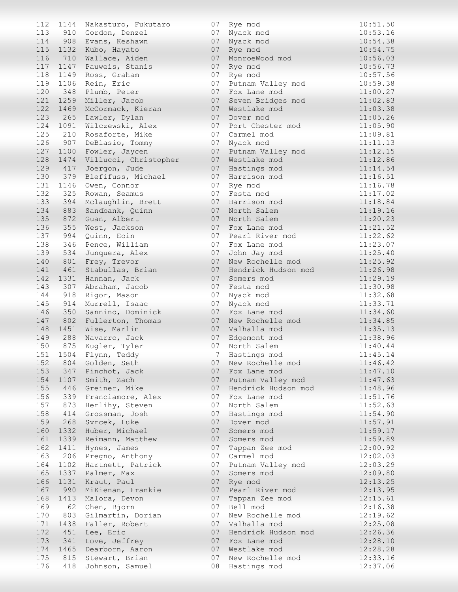| 112 | 1144     | Nakasturo, Fukutaro   | 07 | Rye mod             | 10:51.50 |
|-----|----------|-----------------------|----|---------------------|----------|
| 113 |          | 910 Gordon, Denzel    | 07 | Nyack mod           | 10:53.16 |
| 114 |          | 908 Evans, Keshawn    | 07 | Nyack mod           | 10:54.38 |
| 115 | 1132     | Kubo, Hayato          | 07 | Rye mod             | 10:54.75 |
| 116 | 710      | Wallace, Aiden        | 07 | MonroeWood mod      | 10:56.03 |
| 117 | 1147     | Pauweis, Stanis       | 07 | Rye mod             | 10:56.73 |
| 118 |          |                       | 07 |                     | 10:57.56 |
|     | 1149     | Ross, Graham          |    | Rye mod             |          |
| 119 | 1106     | Rein, Eric            | 07 | Putnam Valley mod   | 10:59.38 |
| 120 | 348      | Plumb, Peter          | 07 | Fox Lane mod        | 11:00.27 |
| 121 | 1259     | Miller, Jacob         | 07 | Seven Bridges mod   | 11:02.83 |
| 122 | 1469     | McCormack, Kieran     | 07 | Westlake mod        | 11:03.38 |
| 123 | 265      | Lawler, Dylan         | 07 | Dover mod           | 11:05.26 |
| 124 | 1091     | Wilczewski, Alex      | 07 | Port Chester mod    | 11:05.90 |
| 125 | 210      | Rosaforte, Mike       | 07 | Carmel mod          | 11:09.81 |
| 126 | 907      | DeBlasio, Tommy       | 07 | Nyack mod           | 11:11.13 |
| 127 | 1100     | Fowler, Jaycen        | 07 | Putnam Valley mod   | 11:12.15 |
| 128 | 1474     | Villucci, Christopher | 07 | Westlake mod        | 11:12.86 |
| 129 | 417      | Joergon, Jude         | 07 | Hastings mod        | 11:14.54 |
| 130 | 379      | Blefifuss, Michael    | 07 | Harrison mod        | 11:16.51 |
|     |          |                       |    |                     |          |
| 131 | 1146     | Owen, Connor          | 07 | Rye mod             | 11:16.78 |
| 132 | 325      | Rowan, Seamus         | 07 | Festa mod           | 11:17.02 |
| 133 | 394      | Mclaughlin, Brett     | 07 | Harrison mod        | 11:18.84 |
| 134 | 883      | Sandbank, Quinn       | 07 | North Salem         | 11:19.16 |
| 135 | 872      | Guan, Albert          | 07 | North Salem         | 11:20.23 |
| 136 | 355      | West, Jackson         | 07 | Fox Lane mod        | 11:21.52 |
| 137 | 994      | Quinn, Eoin           | 07 | Pearl River mod     | 11:22.62 |
| 138 | 346      | Pence, William        | 07 | Fox Lane mod        | 11:23.07 |
| 139 | 534      | Junquera, Alex        | 07 | John Jay mod        | 11:25.40 |
| 140 | 801      | Frey, Trevor          | 07 | New Rochelle mod    | 11:25.92 |
| 141 | 461      | Stabullas, Brian      | 07 | Hendrick Hudson mod | 11:26.98 |
| 142 | 1331     |                       | 07 |                     | 11:29.19 |
|     |          | Hannan, Jack          | 07 | Somers mod          |          |
| 143 | 307      | Abraham, Jacob        |    | Festa mod           | 11:30.98 |
| 144 | 918      | Rigor, Mason          | 07 | Nyack mod           | 11:32.68 |
| 145 | 914      | Murrell, Isaac        | 07 | Nyack mod           | 11:33.71 |
| 146 | 350      | Sannino, Dominick     | 07 | Fox Lane mod        | 11:34.60 |
| 147 | 802      | Fullerton, Thomas     | 07 | New Rochelle mod    | 11:34.85 |
| 148 | 1451     | Wise, Marlin          | 07 | Valhalla mod        | 11:35.13 |
| 149 | 288      | Navarro, Jack         | 07 | Edgemont mod        | 11:38.96 |
| 150 | 875      | Kugler, Tyler         | 07 | North Salem         | 11:40.44 |
|     | 151 1504 | Flynn, Teddy          | 7  | Hastings mod        | 11:45.14 |
| 152 |          | 804 Golden, Seth      | 07 | New Rochelle mod    | 11:46.42 |
| 153 |          | 347 Pinchot, Jack     | 07 | Fox Lane mod        | 11:47.10 |
| 154 | 1107     | Smith, Zach           | 07 | Putnam Valley mod   | 11:47.63 |
| 155 |          | 446 Greiner, Mike     | 07 | Hendrick Hudson mod | 11:48.96 |
| 156 |          | 339 Franciamore, Alex | 07 | Fox Lane mod        | 11:51.76 |
|     |          |                       |    |                     |          |
| 157 | 873      | Herlihy, Steven       | 07 | North Salem         | 11:52.63 |
| 158 | 414      | Grossman, Josh        | 07 | Hastings mod        | 11:54.90 |
| 159 | 268      | Svrcek, Luke          | 07 | Dover mod           | 11:57.91 |
| 160 |          | 1332 Huber, Michael   | 07 | Somers mod          | 11:59.17 |
| 161 |          | 1339 Reimann, Matthew | 07 | Somers mod          | 11:59.89 |
| 162 |          | 1411 Hynes, James     | 07 | Tappan Zee mod      | 12:00.92 |
| 163 |          | 206 Pregno, Anthony   | 07 | Carmel mod          | 12:02.03 |
| 164 | 1102     | Hartnett, Patrick     | 07 | Putnam Valley mod   | 12:03.29 |
| 165 |          | 1337 Palmer, Max      | 07 | Somers mod          | 12:09.80 |
| 166 | 1131     | Kraut, Paul           | 07 | Rye mod             | 12:13.25 |
| 167 | 990      | MiKienan, Frankie     | 07 | Pearl River mod     | 12:13.95 |
| 168 | 1413     | Malora, Devon         | 07 | Tappan Zee mod      | 12:15.61 |
| 169 | 62       | Chen, Bjorn           | 07 | Bell mod            | 12:16.38 |
|     |          |                       |    |                     |          |
| 170 | 803      | Gilmartin, Dorian     | 07 | New Rochelle mod    | 12:19.62 |
| 171 | 1438     | Faller, Robert        | 07 | Valhalla mod        | 12:25.08 |
| 172 | 451      | Lee, Eric             | 07 | Hendrick Hudson mod | 12:26.36 |
| 173 | 341      | Love, Jeffrey         | 07 | Fox Lane mod        | 12:28.10 |
| 174 |          | 1465 Dearborn, Aaron  | 07 | Westlake mod        | 12:28.28 |
| 175 | 815      | Stewart, Brian        | 07 | New Rochelle mod    | 12:33.16 |
| 176 | 418      | Johnson, Samuel       | 08 | Hastings mod        | 12:37.06 |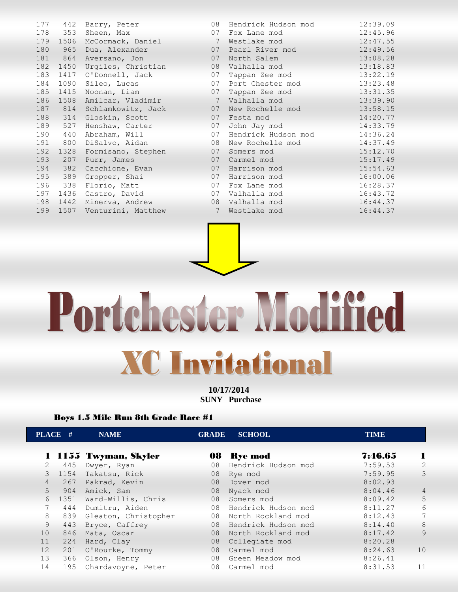| 177 | 442  | Barry, Peter       | 08              | Hendrick Hudson mod | 12:39.09 |
|-----|------|--------------------|-----------------|---------------------|----------|
| 178 | 353  | Sheen, Max         | 07              | Fox Lane mod        | 12:45.96 |
| 179 | 1506 | McCormack, Daniel  | 7               | Westlake mod        | 12:47.55 |
| 180 | 965  | Dua, Alexander     | 07              | Pearl River mod     | 12:49.56 |
| 181 | 864  | Aversano, Jon      | 07              | North Salem         | 13:08.28 |
| 182 | 1450 | Urgiles, Christian | 08              | Valhalla mod        | 13:18.83 |
| 183 | 1417 | O'Donnell, Jack    | 07              | Tappan Zee mod      | 13:22.19 |
| 184 | 1090 | Sileo, Lucas       | 07              | Port Chester mod    | 13:23.48 |
| 185 | 1415 | Noonan, Liam       | 07              | Tappan Zee mod      | 13:31.35 |
| 186 | 1508 | Amilcar, Vladimir  | $7\phantom{.0}$ | Valhalla mod        | 13:39.90 |
| 187 | 814  | Schlamkowitz, Jack | 07              | New Rochelle mod    | 13:58.15 |
| 188 | 314  | Gloskin, Scott     | 07              | Festa mod           | 14:20.77 |
| 189 | 527  | Henshaw, Carter    | 07              | John Jay mod        | 14:33.79 |
| 190 | 440  | Abraham, Will      | 07              | Hendrick Hudson mod | 14:36.24 |
| 191 | 800  | DiSalvo, Aidan     | 08              | New Rochelle mod    | 14:37.49 |
| 192 | 1328 | Formisano, Stephen | 07              | Somers mod          | 15:12.70 |
| 193 | 207  | Purr, James        | 07              | Carmel mod          | 15:17.49 |
| 194 | 382  | Cacchione, Evan    | 07              | Harrison mod        | 15:54.63 |
| 195 | 389  | Gropper, Shai      | 07              | Harrison mod        | 16:00.06 |
| 196 | 338  | Florio, Matt       | 07              | Fox Lane mod        | 16:28.37 |
| 197 | 1436 | Castro, David      | 07              | Valhalla mod        | 16:43.72 |
| 198 | 1442 | Minerva, Andrew    | 08              | Valhalla mod        | 16:44.37 |
| 199 | 1507 | Venturini, Matthew | 7               | Westlake mod        | 16:44.37 |
|     |      |                    |                 |                     |          |



## Portchester Modified

**XC Invitational** 

**10/17/2014 SUNY Purchase** 

## Boys 1.5 Mile Run 8th Grade Race #1

| PLACE #     |      | <b>NAME</b>           | <b>GRADE</b> | <b>SCHOOL</b>       | <b>TIME</b> |                |
|-------------|------|-----------------------|--------------|---------------------|-------------|----------------|
|             |      |                       |              |                     | 7:46.65     | -1             |
|             |      | 1 1155 Twyman, Skyler |              | 08 Rye mod          |             |                |
| $2^{\circ}$ | 445  | Dwyer, Ryan           | 08           | Hendrick Hudson mod | 7:59.53     | $\overline{2}$ |
| 3           | 1154 | Takatsu, Rick         | 08           | Rye mod             | 7:59.95     | 3              |
| 4           | 267  | Pakrad, Kevin         | 08           | Dover mod           | 8:02.93     |                |
| $5 -$       | 904  | Amick, Sam            | 08           | Nyack mod           | 8:04.46     | $\overline{4}$ |
| 6           | 1351 | Ward-Willis, Chris    | 08           | Somers mod          | 8:09.42     | 5              |
|             | 444  | Dumitru, Aiden        | 08           | Hendrick Hudson mod | 8:11.27     | 6              |
| 8           | 839  | Gleaton, Christopher  | 08           | North Rockland mod  | 8:12.43     | 7              |
| 9           | 443  | Bryce, Caffrey        | 08           | Hendrick Hudson mod | 8:14.40     | 8              |
| 10          | 846  | Mata, Oscar           | 08           | North Rockland mod  | 8:17.42     | 9              |
| 11          | 224  | Hard, Clay            | 08           | Collegiate mod      | 8:20.28     |                |
| 12          | 201  | O'Rourke, Tommy       | 08           | Carmel mod          | 8:24.63     | 10             |
| 13          | 366  | Olson, Henry          | 08           | Green Meadow mod    | 8:26.41     |                |
| 14          | 195  | Chardavoyne, Peter    | 08           | Carmel mod          | 8:31.53     | 11             |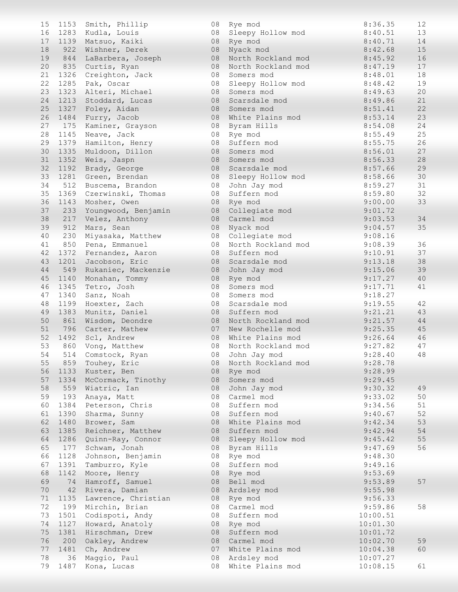| 15 | 1153 | Smith, Phillip           | 08 | Rye mod             | 8:36.35  | 12 |
|----|------|--------------------------|----|---------------------|----------|----|
| 16 |      | 1283 Kudla, Louis        | 08 | Sleepy Hollow mod   | 8:40.51  | 13 |
| 17 |      | 1139 Matsuo, Kaiki       | 08 | Rye mod             | 8:40.71  | 14 |
| 18 | 922  | Wishner, Derek           | 08 | Nyack mod           | 8:42.68  | 15 |
| 19 | 844  | LaBarbera, Joseph        | 08 | North Rockland mod  | 8:45.92  | 16 |
| 20 | 835  | Curtis, Ryan             | 08 | North Rockland mod  | 8:47.19  | 17 |
| 21 |      |                          | 08 | Somers mod          | 8:48.01  | 18 |
| 22 | 1326 | Creighton, Jack          |    |                     |          | 19 |
|    | 1285 | Pak, Oscar               | 08 | Sleepy Hollow mod   | 8:48.42  |    |
| 23 | 1323 | Alteri, Michael          | 08 | Somers mod          | 8:49.63  | 20 |
| 24 |      | 1213 Stoddard, Lucas     | 08 | Scarsdale mod       | 8:49.86  | 21 |
| 25 |      | 1327 Foley, Aidan        | 08 | Somers mod          | 8:51.41  | 22 |
| 26 | 1484 | Furry, Jacob             | 08 | White Plains mod    | 8:53.14  | 23 |
| 27 |      | 175 Kaminer, Grayson     | 08 | Byram Hills         | 8:54.08  | 24 |
| 28 | 1145 | Neave, Jack              | 08 | Rye mod             | 8:55.49  | 25 |
| 29 |      | 1379 Hamilton, Henry     | 08 | Suffern mod         | 8:55.75  | 26 |
| 30 | 1335 | Muldoon, Dillon          | 08 | Somers mod          | 8:56.01  | 27 |
| 31 | 1352 | Weis, Jaspn              | 08 | Somers mod          | 8:56.33  | 28 |
| 32 | 1192 | Brady, George            | 08 | Scarsdale mod       | 8:57.66  | 29 |
|    |      |                          |    |                     |          |    |
| 33 |      | 1281 Green, Brendan      | 08 | Sleepy Hollow mod   | 8:58.66  | 30 |
| 34 | 512  | Buscema, Brandon         | 08 | John Jay mod        | 8:59.27  | 31 |
| 35 |      | 1369 Czerwinski, Thomas  | 08 | Suffern mod         | 8:59.80  | 32 |
| 36 |      | 1143 Mosher, Owen        | 08 | Rye mod             | 9:00.00  | 33 |
| 37 |      | 233 Youngwood, Benjamin  | 08 | Collegiate mod      | 9:01.72  |    |
| 38 | 217  | Velez, Anthony           | 08 | Carmel mod          | 9:03.53  | 34 |
| 39 | 912  | Mars, Sean               | 08 | Nyack mod           | 9:04.57  | 35 |
| 40 | 230  | Miyasaka, Matthew        | 08 | Collegiate mod      | 9:08.16  |    |
| 41 | 850  | Pena, Emmanuel           | 08 | North Rockland mod  | 9:08.39  | 36 |
| 42 | 1372 |                          | 08 | Suffern mod         | 9:10.91  | 37 |
|    |      | Fernandez, Aaron         |    |                     |          |    |
| 43 | 1201 | Jacobson, Eric           | 08 | Scarsdale mod       | 9:13.18  | 38 |
| 44 | 549  | Rukaniec, Mackenzie      | 08 | John Jay mod        | 9:15.06  | 39 |
| 45 | 1140 | Monahan, Tommy           | 08 | Rye mod             | 9:17.27  | 40 |
| 46 | 1345 | Tetro, Josh              | 08 | Somers mod          | 9:17.71  | 41 |
| 47 | 1340 | Sanz, Noah               | 08 | Somers mod          | 9:18.27  |    |
| 48 |      | 1199 Hoexter, Zach       | 08 | Scarsdale mod       | 9:19.55  | 42 |
| 49 |      | 1383 Munitz, Daniel      | 08 | Suffern mod         | 9:21.21  | 43 |
| 50 | 861  | Wisdom, Deondre          | 08 | North Rockland mod  | 9:21.57  | 44 |
| 51 |      | 796 Carter, Mathew       | 07 | New Rochelle mod    | 9:25.35  | 45 |
| 52 |      | 1492 Scl, Andrew         | 08 | White Plains mod    | 9:26.64  | 46 |
| 53 | 860  | Vong, Matthew            | 08 | North Rockland mod  | 9:27.82  | 47 |
|    |      |                          |    |                     | 9:28.40  | 48 |
| 54 |      | 514 Comstock, Ryan       |    | 08 John Jay mod     |          |    |
| 55 |      | 859 Touhey, Eric         | 08 | North Rockland mod  | 9:28.78  |    |
| 56 |      | 1133 Kuster, Ben         | 08 | Rye mod             | 9:28.99  |    |
| 57 | 1334 | McCormack, Tinothy       | 08 | Somers mod          | 9:29.45  |    |
| 58 | 559  | Wiatric, Ian             | 08 | John Jay mod        | 9:30.32  | 49 |
| 59 | 193  | Anaya, Matt              | 08 | Carmel mod          | 9:33.02  | 50 |
| 60 | 1384 | Peterson, Chris          | 08 | Suffern mod         | 9:34.56  | 51 |
| 61 |      | 1390 Sharma, Sunny       | 08 | Suffern mod         | 9:40.67  | 52 |
| 62 | 1480 | Brower, Sam              | 08 | White Plains mod    | 9:42.34  | 53 |
| 63 |      | 1385 Reichner, Matthew   | 08 | Suffern mod         | 9:42.94  | 54 |
|    |      |                          |    |                     |          |    |
| 64 |      | 1286 Quinn-Ray, Connor   | 08 | Sleepy Hollow mod   | 9:45.42  | 55 |
| 65 | 177  | Schwam, Jonah            | 08 | Byram Hills         | 9:47.69  | 56 |
| 66 | 1128 | Johnson, Benjamin        | 08 | Rye mod             | 9:48.30  |    |
| 67 | 1391 | Tamburro, Kyle           | 08 | Suffern mod         | 9:49.16  |    |
| 68 | 1142 | Moore, Henry             | 08 | Rye mod             | 9:53.69  |    |
| 69 | 74   | Hamroff, Samuel          | 08 | Bell mod            | 9:53.89  | 57 |
| 70 |      | 42 Rivera, Damian        |    | 08 Ardsley mod      | 9:55.98  |    |
| 71 |      | 1135 Lawrence, Christian |    | 08 Rye mod          | 9:56.33  |    |
| 72 |      | 199 Mirchin, Brian       | 08 | Carmel mod          | 9:59.86  | 58 |
| 73 | 1501 | Codispoti, Andy          | 08 | Suffern mod         | 10:00.51 |    |
|    |      |                          |    |                     |          |    |
| 74 |      | 1127 Howard, Anatoly     | 08 | Rye mod             | 10:01.30 |    |
| 75 | 1381 | Hirschman, Drew          | 08 | Suffern mod         | 10:01.72 |    |
| 76 | 200  | Oakley, Andrew           | 08 | Carmel mod          | 10:02.70 | 59 |
| 77 | 1481 | Ch, Andrew               | 07 | White Plains mod    | 10:04.38 | 60 |
| 78 | 36   | Maggio, Paul             |    | 08 Ardsley mod      | 10:07.27 |    |
| 79 |      | 1487 Kona, Lucas         |    | 08 White Plains mod | 10:08.15 | 61 |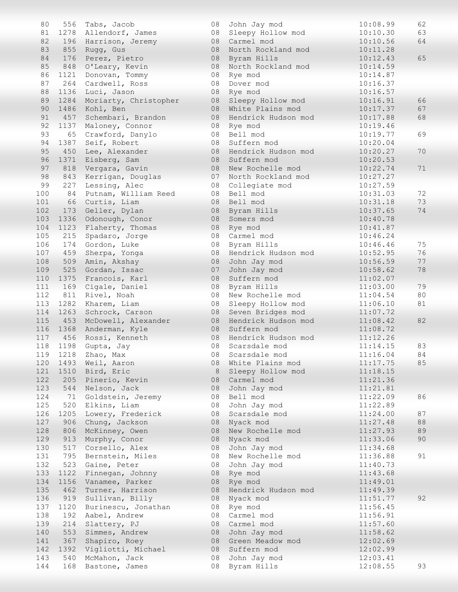| 80  | 556      | Tabs, Jacob             | 08 | John Jay mod        | 10:08.99 | 62 |
|-----|----------|-------------------------|----|---------------------|----------|----|
| 81  |          | 1278 Allendorf, James   | 08 | Sleepy Hollow mod   | 10:10.30 | 63 |
| 82  |          | 196 Harrison, Jeremy    | 08 | Carmel mod          | 10:10.56 | 64 |
| 83  | 855      | Rugg, Gus               | 08 | North Rockland mod  | 10:11.28 |    |
| 84  | 176      | Perez, Pietro           | 08 | Byram Hills         | 10:12.43 | 65 |
| 85  | 848      | O'Leary, Kevin          | 08 | North Rockland mod  | 10:14.59 |    |
| 86  | 1121     | Donovan, Tommy          | 08 | Rye mod             | 10:14.87 |    |
| 87  | 264      | Cardwell, Ross          | 08 | Dover mod           | 10:16.37 |    |
| 88  | 1136     | Luci, Jason             | 08 | Rye mod             | 10:16.57 |    |
| 89  | 1284     | Moriarty, Christopher   | 08 | Sleepy Hollow mod   | 10:16.91 | 66 |
| 90  | 1486     | Kohl, Ben               | 08 | White Plains mod    | 10:17.37 | 67 |
| 91  | 457      | Schembari, Brandon      | 08 | Hendrick Hudson mod | 10:17.88 | 68 |
| 92  | 1137     | Maloney, Connor         | 08 | Rye mod             | 10:19.46 |    |
| 93  | 65       | Crawford, Danylo        | 08 | Bell mod            | 10:19.77 | 69 |
| 94  | 1387     | Seif, Robert            | 08 | Suffern mod         | 10:20.04 |    |
| 95  | 450      | Lee, Alexander          | 08 | Hendrick Hudson mod | 10:20.27 | 70 |
| 96  | 1371     | Eisberg, Sam            | 08 | Suffern mod         | 10:20.53 |    |
| 97  | 818      |                         | 08 | New Rochelle mod    | 10:22.74 | 71 |
| 98  | 843      | Vergara, Gavin          | 07 |                     |          |    |
|     |          | Kerrigan, Douglas       |    | North Rockland mod  | 10:27.27 |    |
| 99  | 227      | Lessing, Alec           | 08 | Collegiate mod      | 10:27.59 |    |
| 100 | 84       | Putnam, William Reed    | 08 | Bell mod            | 10:31.03 | 72 |
| 101 | 66       | Curtis, Liam            | 08 | Bell mod            | 10:31.18 | 73 |
| 102 | 173      | Geller, Dylan           | 08 | Byram Hills         | 10:37.65 | 74 |
| 103 | 1336     | Odonough, Conor         | 08 | Somers mod          | 10:40.78 |    |
| 104 | 1123     | Flaherty, Thomas        | 08 | Rye mod             | 10:41.87 |    |
| 105 | 215      | Spadaro, Jorge          | 08 | Carmel mod          | 10:46.24 |    |
| 106 | 174      | Gordon, Luke            | 08 | Byram Hills         | 10:46.46 | 75 |
| 107 | 459      | Sherpa, Yonga           | 08 | Hendrick Hudson mod | 10:52.95 | 76 |
| 108 | 509      | Amin, Akshay            | 08 | John Jay mod        | 10:56.59 | 77 |
| 109 | 525      | Gordan, Issac           | 07 | John Jay mod        | 10:58.62 | 78 |
| 110 | 1375     | Francois, Karl          | 08 | Suffern mod         | 11:02.07 |    |
| 111 | 169      | Cigale, Daniel          | 08 | Byram Hills         | 11:03.00 | 79 |
| 112 | 811      | Rivel, Noah             | 08 | New Rochelle mod    | 11:04.54 | 80 |
| 113 | 1282     | Kharem, Liam            | 08 | Sleepy Hollow mod   | 11:06.10 | 81 |
| 114 | 1263     | Schrock, Carson         | 08 | Seven Bridges mod   | 11:07.72 |    |
| 115 |          | 453 McDowell, Alexander | 08 | Hendrick Hudson mod | 11:08.42 | 82 |
| 116 | 1368     | Anderman, Kyle          | 08 | Suffern mod         | 11:08.72 |    |
| 117 | 456      | Rossi, Kenneth          | 08 | Hendrick Hudson mod | 11:12.26 |    |
| 118 | 1198     | Gupta, Jay              | 08 | Scarsdale mod       | 11:14.15 | 83 |
|     | 119 1218 | Zhao, Max               | 08 | Scarsdale mod       | 11:16.04 | 84 |
| 120 | 1493     | Weil, Aaron             | 08 | White Plains mod    | 11:17.75 | 85 |
| 121 |          | 1510 Bird, Eric         | 8  | Sleepy Hollow mod   | 11:18.15 |    |
| 122 | 205      | Pinerio, Kevin          | 08 | Carmel mod          | 11:21.36 |    |
| 123 | 544      | Nelson, Jack            | 08 | John Jay mod        | 11:21.81 |    |
| 124 | 71       | Goldstein, Jeremy       | 08 | Bell mod            | 11:22.09 | 86 |
| 125 | 520      | Elkins, Liam            | 08 | John Jay mod        | 11:22.89 |    |
| 126 | 1205     | Lowery, Frederick       | 08 | Scarsdale mod       | 11:24.00 | 87 |
| 127 | 906      | Chung, Jackson          | 08 | Nyack mod           | 11:27.48 | 88 |
| 128 | 806      | McKinney, Owen          | 08 | New Rochelle mod    | 11:27.93 | 89 |
| 129 | 913      | Murphy, Conor           | 08 | Nyack mod           | 11:33.06 | 90 |
| 130 | 517      | Corsello, Alex          | 08 | John Jay mod        | 11:34.68 |    |
| 131 | 795      |                         | 08 | New Rochelle mod    | 11:36.88 | 91 |
|     |          | Bernstein, Miles        |    |                     |          |    |
| 132 | 523      | Gaine, Peter            | 08 | John Jay mod        | 11:40.73 |    |
| 133 | 1122     | Finnegan, Johnny        | 08 | Rye mod             | 11:43.68 |    |
| 134 | 1156     | Vanamee, Parker         | 08 | Rye mod             | 11:49.01 |    |
| 135 | 462      | Turner, Harrison        | 08 | Hendrick Hudson mod | 11:49.39 |    |
| 136 | 919      | Sullivan, Billy         | 08 | Nyack mod           | 11:51.77 | 92 |
| 137 | 1120     | Burinescu, Jonathan     | 08 | Rye mod             | 11:56.45 |    |
| 138 | 192      | Aabel, Andrew           | 08 | Carmel mod          | 11:56.91 |    |
| 139 | 214      | Slattery, PJ            | 08 | Carmel mod          | 11:57.60 |    |
| 140 | 553      | Simmes, Andrew          | 08 | John Jay mod        | 11:58.62 |    |
| 141 | 367      | Shapiro, Roey           | 08 | Green Meadow mod    | 12:02.69 |    |
| 142 | 1392     | Vigliotti, Michael      | 08 | Suffern mod         | 12:02.99 |    |
| 143 | 540      | McMahon, Jack           | 08 | John Jay mod        | 12:03.41 |    |
| 144 | 168      | Bastone, James          | 08 | Byram Hills         | 12:08.55 | 93 |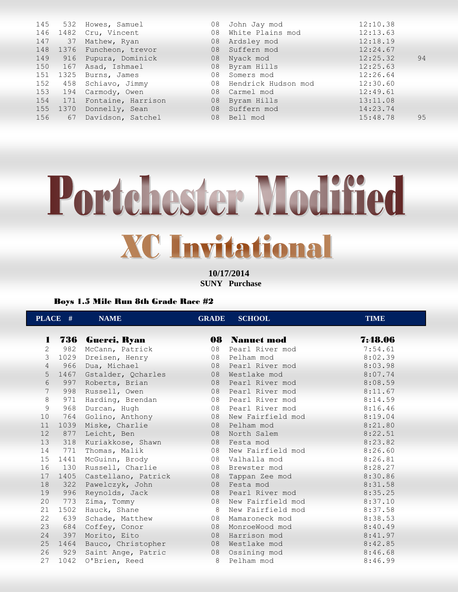|     |         | 145 532 Howes, Samuel     |    | 08 John Jay mod        | 12:10.38 |    |
|-----|---------|---------------------------|----|------------------------|----------|----|
|     |         | 146 1482 Cru, Vincent     | 08 | White Plains mod       | 12:13.63 |    |
|     | 147 37  | Mathew, Ryan              |    | 08 Ardsley mod         | 12:18.19 |    |
|     |         | 148 1376 Funcheon, trevor |    | 08 Suffern mod         | 12:24.67 |    |
| 149 |         | 916 Pupura, Dominick      |    | 08 Nyack mod           | 12:25.32 | 94 |
| 150 | 167     | Asad, Ishmael             |    | 08 Byram Hills         | 12:25.63 |    |
| 151 |         | 1325 Burns, James         |    | 08 Somers mod          | 12:26.64 |    |
| 152 |         | 458 Schiavo, Jimmy        |    | 08 Hendrick Hudson mod | 12:30.60 |    |
|     | 153 194 | Carmody, Owen             |    | 08 Carmel mod          | 12:49.61 |    |
| 154 |         | 171 Fontaine, Harrison    |    | 08 Byram Hills         | 13:11.08 |    |
|     |         | 155 1370 Donnelly, Sean   | 08 | Suffern mod            | 14:23.74 |    |
| 156 | 67      | Davidson, Satchel         |    | 08 Bell mod            | 15:48.78 | 95 |
|     |         |                           |    |                        |          |    |

## Portchester Modified **XC Invitational**

**10/17/2014 SUNY Purchase** 

## Boys 1.5 Mile Run 8th Grade Race #2

|                 | PLACE # | <b>NAME</b>             | <b>GRADE</b> | <b>SCHOOL</b>        | <b>TIME</b> |
|-----------------|---------|-------------------------|--------------|----------------------|-------------|
|                 |         |                         |              |                      |             |
|                 |         | 1 736 Guerci, Ryan      |              | <b>08</b> Nanuet mod | 7:48.06     |
| 2               | 982     | McCann, Patrick         | 08           | Pearl River mod      | 7:54.61     |
| 3               | 1029    | Dreisen, Henry          | 08           | Pelham mod           | 8:02.39     |
| $\overline{4}$  |         | 966 Dua, Michael        |              | 08 Pearl River mod   | 8:03.98     |
| 5               |         | 1467 Gstalder, Ocharles |              | 08 Westlake mod      | 8:07.74     |
| 6               | 997     | Roberts, Brian          | 08           | Pearl River mod      | 8:08.59     |
| 7               |         | 998 Russell, Owen       |              | 08 Pearl River mod   | 8:11.67     |
| $\,8\,$         |         | 971 Harding, Brendan    |              | 08 Pearl River mod   | 8:14.59     |
| 9               | 968     | Durcan, Hugh            |              | 08 Pearl River mod   | 8:16.46     |
| 10              | 764     | Golino, Anthony         | 08           | New Fairfield mod    | 8:19.04     |
| 11              | 1039    | Miske, Charlie          |              | 08 Pelham mod        | 8:21.80     |
| 12              |         | 877 Leicht, Ben         | 08           | North Salem          | 8:22.51     |
| 13              | 318     | Kuriakkose, Shawn       | 08           | Festa mod            | 8:23.82     |
| 14              | 771     | Thomas, Malik           | 08           | New Fairfield mod    | 8:26.60     |
| 15 <sub>1</sub> | 1441    | McGuinn, Brody          |              | 08 Valhalla mod      | 8:26.81     |
| 16              |         | 130 Russell, Charlie    |              | 08 Brewster mod      | 8:28.27     |
| 17              | 1405    | Castellano, Patrick     | 08           | Tappan Zee mod       | 8:30.86     |
| 18              |         | 322 Pawelczyk, John     | 08           | Festa mod            | 8:31.58     |
| 19              |         | 996 Reynolds, Jack      |              | 08 Pearl River mod   | 8:35.25     |
| 20              | 773     | Zima, Tommy             | 08           | New Fairfield mod    | 8:37.10     |
| 21              | 1502    | Hauck, Shane            | 8            | New Fairfield mod    | 8:37.58     |
| 22              | 639     | Schade, Matthew         | 08           | Mamaroneck mod       | 8:38.53     |
| 23              | 684     | Coffey, Conor           | 08           | MonroeWood mod       | 8:40.49     |
| 24              | 397     | Morito, Eito            | 08           | Harrison mod         | 8:41.97     |
| 25              | 1464    | Bauco, Christopher      | 08           | Westlake mod         | 8:42.85     |
| 26              | 929     | Saint Ange, Patric      | 08           | Ossining mod         | 8:46.68     |
| 27              | 1042    | O'Brien, Reed           | 8            | Pelham mod           | 8:46.99     |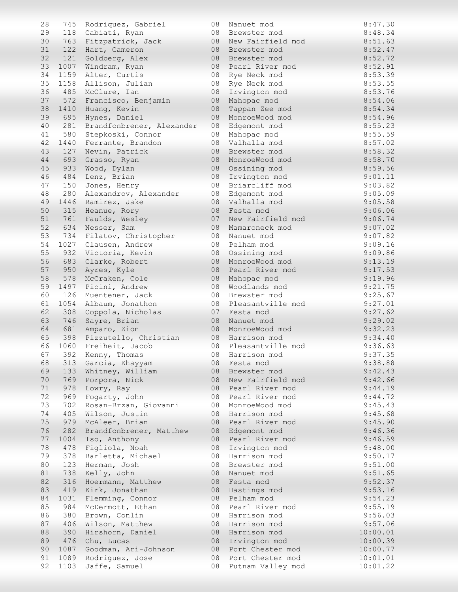| 28 | 745  | Rodriquez, Gabriel        | 08 | Nanuet mod        | 8:47.30  |
|----|------|---------------------------|----|-------------------|----------|
| 29 | 118  | Cabiati, Ryan             | 08 | Brewster mod      | 8:48.34  |
| 30 |      | 763 Fitzpatrick, Jack     | 08 | New Fairfield mod | 8:51.63  |
| 31 | 122  | Hart, Cameron             | 08 | Brewster mod      | 8:52.47  |
|    |      |                           |    |                   |          |
| 32 | 121  | Goldberg, Alex            | 08 | Brewster mod      | 8:52.72  |
| 33 | 1007 | Windram, Ryan             | 08 | Pearl River mod   | 8:52.91  |
| 34 | 1159 | Alter, Curtis             | 08 | Rye Neck mod      | 8:53.39  |
| 35 | 1158 | Allison, Julian           | 08 | Rye Neck mod      | 8:53.55  |
| 36 | 485  | McClure, Ian              | 08 | Irvington mod     | 8:53.76  |
| 37 | 572  | Francisco, Benjamin       | 08 | Mahopac mod       | 8:54.06  |
| 38 | 1410 | Huang, Kevin              | 08 | Tappan Zee mod    | 8:54.34  |
| 39 | 695  | Hynes, Daniel             | 08 | MonroeWood mod    | 8:54.96  |
| 40 | 281  | Brandfonbrener, Alexander | 08 | Edgemont mod      | 8:55.23  |
| 41 | 580  | Stepkoski, Connor         | 08 | Mahopac mod       | 8:55.59  |
| 42 | 1440 | Ferrante, Brandon         | 08 | Valhalla mod      | 8:57.02  |
| 43 | 127  | Nevin, Patrick            | 08 | Brewster mod      | 8:58.32  |
| 44 | 693  | Grasso, Ryan              | 08 | MonroeWood mod    | 8:58.70  |
| 45 | 933  |                           |    |                   |          |
|    |      | Wood, Dylan               | 08 | Ossining mod      | 8:59.56  |
| 46 | 484  | Lenz, Brian               | 08 | Irvington mod     | 9:01.11  |
| 47 | 150  | Jones, Henry              | 08 | Briarcliff mod    | 9:03.82  |
| 48 | 280  | Alexandrov, Alexander     | 08 | Edgemont mod      | 9:05.09  |
| 49 | 1446 | Ramirez, Jake             | 08 | Valhalla mod      | 9:05.58  |
| 50 | 315  | Heanue, Rory              | 08 | Festa mod         | 9:06.06  |
| 51 | 761  | Faulds, Wesley            | 07 | New Fairfield mod | 9:06.74  |
| 52 | 634  | Nesser, Sam               | 08 | Mamaroneck mod    | 9:07.02  |
| 53 | 734  | Filatov, Christopher      | 08 | Nanuet mod        | 9:07.82  |
| 54 | 1027 | Clausen, Andrew           | 08 | Pelham mod        | 9:09.16  |
| 55 | 932  | Victoria, Kevin           | 08 | Ossining mod      | 9:09.86  |
| 56 | 683  | Clarke, Robert            | 08 | MonroeWood mod    | 9:13.19  |
| 57 | 950  | Ayres, Kyle               | 08 | Pearl River mod   | 9:17.53  |
|    |      |                           |    |                   |          |
| 58 | 578  | McCraken, Cole            | 08 | Mahopac mod       | 9:19.96  |
| 59 | 1497 | Picini, Andrew            | 08 | Woodlands mod     | 9:21.75  |
| 60 | 126  | Muentener, Jack           | 08 | Brewster mod      | 9:25.67  |
| 61 | 1054 | Albaum, Jonathon          | 08 | Pleasantville mod | 9:27.01  |
| 62 | 308  | Coppola, Nicholas         | 07 | Festa mod         | 9:27.62  |
| 63 | 746  | Sayre, Brian              | 08 | Nanuet mod        | 9:29.02  |
| 64 | 681  | Amparo, Zion              | 08 | MonroeWood mod    | 9:32.23  |
| 65 |      | 398 Pizzutello, Christian | 08 | Harrison mod      | 9:34.40  |
| 66 | 1060 | Freiheit, Jacob           | 08 | Pleasantville mod | 9:36.63  |
| 67 |      | 392 Kenny, Thomas         |    | 08 Harrison mod   | 9:37.35  |
| 68 |      | 313 Garcia, Khayyam       | 08 | Festa mod         | 9:38.88  |
| 69 |      | 133 Whitney, William      | 08 | Brewster mod      | 9:42.43  |
| 70 |      | 769 Porpora, Nick         | 08 | New Fairfield mod | 9:42.66  |
| 71 | 978  | Lowry, Ray                | 08 | Pearl River mod   | 9:44.19  |
| 72 | 969  | Fogarty, John             | 08 | Pearl River mod   | 9:44.72  |
| 73 | 702  | Rosan-Brzan, Giovanni     | 08 | MonroeWood mod    | 9:45.43  |
| 74 |      |                           |    |                   |          |
|    | 405  | Wilson, Justin            | 08 | Harrison mod      | 9:45.68  |
| 75 | 979  | McAleer, Brian            | 08 | Pearl River mod   | 9:45.90  |
| 76 | 282  | Brandfonbrener, Matthew   | 08 | Edgemont mod      | 9:46.36  |
| 77 | 1004 | Tso, Anthony              | 08 | Pearl River mod   | 9:46.59  |
| 78 | 478  | Figliola, Noah            | 08 | Irvington mod     | 9:48.00  |
| 79 | 378  | Barletta, Michael         | 08 | Harrison mod      | 9:50.17  |
| 80 | 123  | Herman, Josh              | 08 | Brewster mod      | 9:51.00  |
| 81 | 738  | Kelly, John               | 08 | Nanuet mod        | 9:51.65  |
| 82 | 316  | Hoermann, Matthew         | 08 | Festa mod         | 9:52.37  |
| 83 | 419  | Kirk, Jonathan            | 08 | Hastings mod      | 9:53.16  |
| 84 | 1031 | Flemming, Connor          | 08 | Pelham mod        | 9:54.23  |
| 85 | 984  | McDermott, Ethan          | 08 | Pearl River mod   | 9:55.19  |
| 86 | 380  | Brown, Conlin             | 08 | Harrison mod      | 9:56.03  |
| 87 | 406  | Wilson, Matthew           | 08 | Harrison mod      | 9:57.06  |
|    |      |                           |    |                   |          |
| 88 | 390  | Hirshorn, Daniel          | 08 | Harrison mod      | 10:00.01 |
| 89 | 476  | Chu, Lucas                | 08 | Irvington mod     | 10:00.39 |
| 90 | 1087 | Goodman, Ari-Johnson      | 08 | Port Chester mod  | 10:00.77 |
| 91 | 1089 | Rodriguez, Jose           | 08 | Port Chester mod  | 10:01.01 |
| 92 | 1103 | Jaffe, Samuel             | 08 | Putnam Valley mod | 10:01.22 |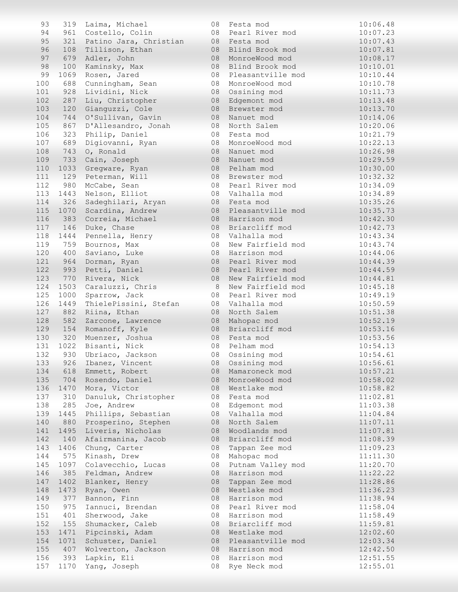| 93  |      | 319 Laima, Michael     | 08 | Festa mod         | 10:06.48 |
|-----|------|------------------------|----|-------------------|----------|
| 94  | 961  | Costello, Colin        | 08 | Pearl River mod   | 10:07.23 |
| 95  | 321  | Patino Jara, Christian | 08 | Festa mod         | 10:07.43 |
| 96  | 108  | Tillison, Ethan        | 08 | Blind Brook mod   | 10:07.81 |
| 97  | 679  | Adler, John            | 08 | MonroeWood mod    | 10:08.17 |
|     |      |                        |    |                   |          |
| 98  | 100  | Kaminsky, Max          | 08 | Blind Brook mod   | 10:10.01 |
| 99  | 1069 | Rosen, Jared           | 08 | Pleasantville mod | 10:10.44 |
| 100 | 688  | Cunningham, Sean       | 08 | MonroeWood mod    | 10:10.78 |
| 101 | 928  | Lividini, Nick         | 08 | Ossining mod      | 10:11.73 |
| 102 | 287  | Liu, Christopher       | 08 | Edgemont mod      | 10:13.48 |
| 103 | 120  | Gianguzzi, Cole        | 08 | Brewster mod      | 10:13.70 |
| 104 | 744  | O'Sullivan, Gavin      | 08 | Nanuet mod        | 10:14.06 |
| 105 | 867  | D'Allesandro, Jonah    | 08 | North Salem       | 10:20.06 |
| 106 | 323  | Philip, Daniel         | 08 | Festa mod         | 10:21.79 |
| 107 | 689  | Digiovanni, Ryan       | 08 | MonroeWood mod    | 10:22.13 |
| 108 |      |                        | 08 |                   |          |
|     | 743  | O, Ronald              |    | Nanuet mod        | 10:26.98 |
| 109 | 733  | Cain, Joseph           | 08 | Nanuet mod        | 10:29.59 |
| 110 | 1033 | Gregware, Ryan         | 08 | Pelham mod        | 10:30.00 |
| 111 | 129  | Peterman, Will         | 08 | Brewster mod      | 10:32.32 |
| 112 | 980  | McCabe, Sean           | 08 | Pearl River mod   | 10:34.09 |
| 113 | 1443 | Nelson, Elliot         | 08 | Valhalla mod      | 10:34.89 |
| 114 | 326  | Sadeghilari, Aryan     | 08 | Festa mod         | 10:35.26 |
| 115 | 1070 | Scardina, Andrew       | 08 | Pleasantville mod | 10:35.73 |
| 116 | 383  | Correia, Michael       | 08 | Harrison mod      | 10:42.30 |
| 117 | 146  | Duke, Chase            | 08 | Briarcliff mod    | 10:42.73 |
| 118 | 1444 | Pennella, Henry        | 08 | Valhalla mod      | 10:43.34 |
|     |      |                        |    |                   |          |
| 119 | 759  | Bournos, Max           | 08 | New Fairfield mod | 10:43.74 |
| 120 | 400  | Saviano, Luke          | 08 | Harrison mod      | 10:44.06 |
| 121 | 964  | Dorman, Ryan           | 08 | Pearl River mod   | 10:44.39 |
| 122 | 993  | Petti, Daniel          | 08 | Pearl River mod   | 10:44.59 |
| 123 | 770  | Rivera, Nick           | 08 | New Fairfield mod | 10:44.81 |
| 124 | 1503 | Caraluzzi, Chris       | 8  | New Fairfield mod | 10:45.18 |
| 125 | 1000 | Sparrow, Jack          | 08 | Pearl River mod   | 10:49.19 |
| 126 | 1449 | ThielePissini, Stefan  | 08 | Valhalla mod      | 10:50.59 |
| 127 | 882  | Riina, Ethan           | 08 | North Salem       | 10:51.38 |
| 128 | 582  | Zarcone, Lawrence      | 08 | Mahopac mod       | 10:52.19 |
| 129 | 154  | Romanoff, Kyle         | 08 | Briarcliff mod    | 10:53.16 |
| 130 | 320  | Muenzer, Joshua        | 08 | Festa mod         | 10:53.56 |
| 131 | 1022 | Bisanti, Nick          | 08 | Pelham mod        | 10:54.13 |
|     |      |                        |    |                   |          |
| 132 |      | 930 Ubriaco, Jackson   |    | 08 Ossining mod   | 10:54.61 |
| 133 | 926  | Ibanez, Vincent        | 08 | Ossining mod      | 10:56.61 |
| 134 |      | 618 Emmett, Robert     | 08 | Mamaroneck mod    | 10:57.21 |
| 135 |      | 704 Rosendo, Daniel    | 08 | MonroeWood mod    | 10:58.02 |
| 136 |      | 1470 Mora, Victor      | 08 | Westlake mod      | 10:58.82 |
| 137 | 310  | Danuluk, Christopher   | 08 | Festa mod         | 11:02.81 |
| 138 | 285  | Joe, Andrew            | 08 | Edgemont mod      | 11:03.38 |
| 139 | 1445 | Phillips, Sebastian    | 08 | Valhalla mod      | 11:04.84 |
| 140 | 880  | Prosperino, Stephen    | 08 | North Salem       | 11:07.11 |
| 141 | 1495 | Liveris, Nicholas      | 08 | Woodlands mod     | 11:07.81 |
| 142 |      | 140 Afairmanina, Jacob | 08 | Briarcliff mod    | 11:08.39 |
|     |      |                        |    |                   |          |
| 143 | 1406 | Chung, Carter          | 08 | Tappan Zee mod    | 11:09.23 |
| 144 | 575  | Kinash, Drew           | 08 | Mahopac mod       | 11:11.30 |
| 145 | 1097 | Colavecchio, Lucas     | 08 | Putnam Valley mod | 11:20.70 |
| 146 | 385  | Feldman, Andrew        | 08 | Harrison mod      | 11:22.22 |
| 147 |      | 1402 Blanker, Henry    | 08 | Tappan Zee mod    | 11:28.86 |
| 148 |      | 1473 Ryan, Owen        | 08 | Westlake mod      | 11:36.23 |
| 149 | 377  | Bannon, Finn           | 08 | Harrison mod      | 11:38.94 |
| 150 | 975  | Iannuci, Brendan       | 08 | Pearl River mod   | 11:58.04 |
| 151 | 401  | Sherwood, Jake         | 08 | Harrison mod      | 11:58.49 |
| 152 | 155  | Shumacker, Caleb       | 08 | Briarcliff mod    | 11:59.81 |
| 153 | 1471 | Pipcinski, Adam        | 08 | Westlake mod      | 12:02.60 |
| 154 |      |                        |    |                   |          |
|     | 1071 | Schuster, Daniel       | 08 | Pleasantville mod | 12:03.34 |
| 155 | 407  | Wolverton, Jackson     | 08 | Harrison mod      | 12:42.50 |
| 156 | 393  | Lapkin, Eli            | 08 | Harrison mod      | 12:51.55 |
| 157 | 1170 | Yang, Joseph           | 08 | Rye Neck mod      | 12:55.01 |